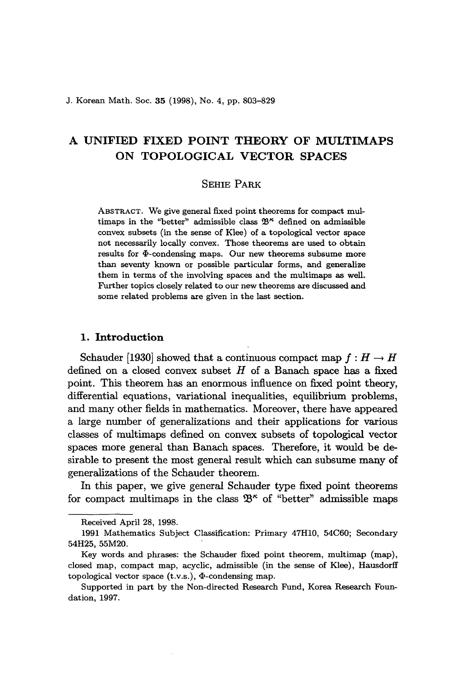# A UNIFIED FIXED POINT THEORY OF MULTIMAPS ON TOPOLOGICAL VECTOR SPACES

# SEHIE PARK

ABSTRACT. We give general fixed point theorems for compact multimaps in the "better" admissible class  $\mathfrak{B}^{\kappa}$  defined on admissible convex subsets (in the sense of Klee) of a topological vector space not necessarily locally convex. Those theorems are used to obtain results for  $\Phi$ -condensing maps. Our new theorems subsume more than seventy known or possible particular forms, and generalize them in terms of the involving spaces and the multimaps as well. Further topics closely related to our new theorems are discussed and some related problems are given in the last section.

# 1. Introduction

Schauder [1930] showed that a continuous compact map  $f : H \to H$ defined on a closed convex subset  $H$  of a Banach space has a fixed point. This theorem has an enormous influence on fixed point theory, differential equations, variational inequalities, equilibrium problems, and many other fields in mathematics. Moreover, there have appeared a large number of generalizations and their applications for various classes of multimaps defined on convex subsets of topological vector spaces more general than Banach spaces. Therefore, it would be desirable to present the most general result which can subsume many of generalizations of the Schauder theorem.

In this paper, we give general Schauder type fixed point theorems for compact multimaps in the class  $\mathfrak{B}^{\kappa}$  of "better" admissible maps

Received April 28, 1998.

<sup>1991</sup> Mathematics Subject Classification: Primary 47HlO, 54C60; Secondary 54H25, 55M20.

Key words and phrases: the Schauder fixed point theorem, multimap (map), closed map, compact map, acyclic, admissible (in the sense of Klee), Hausdorff topological vector space  $(t.v.s.),$   $\Phi$ -condensing map.

Supported in part by the Non-directed Research Fund, Korea Research Foundation, 1997.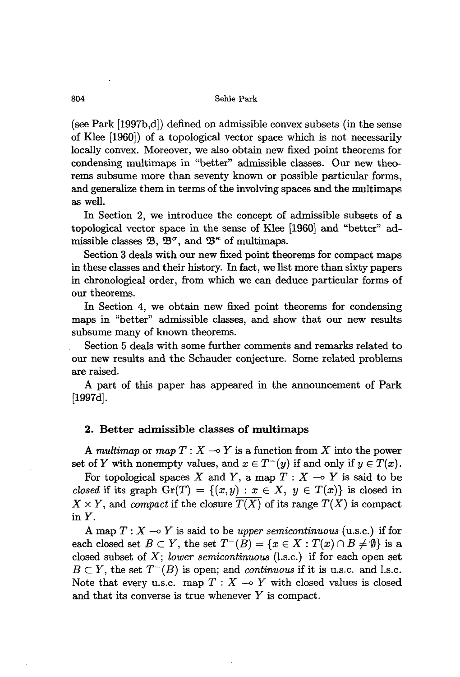(see Park [1997b,d]) defined on admissible convex subsets (in the sense of Klee [1960]) of a topological vector space which is not necessarily locally convex. Moreover, we also obtain new fixed point theorems for condensing multimaps in "better" admissible classes. Our new theorems subsume more than seventy known or possible particular forms, and generalize them in terms of the involving spaces and the multimaps as well.

In Section 2, we introduce the concept of admissible subsets of a topological vector space in the sense of Klee [1960] and "better" admissible classes  $\mathfrak{B}, \mathfrak{B}^{\sigma}$ , and  $\mathfrak{B}^{\kappa}$  of multimaps.

Section 3 deals with our new fixed point theorems for compact maps in these classes and their history. In fact, we list more than sixty papers in chronological order, from which we can deduce particular forms of our theorems,

In Section 4, we obtain new fixed point theorems for condensing maps in "better" admissible classes, and show that our new results subsume many of known theorems.

Section 5 deals with some further comments and remarks related to our new results and the Schauder conjecture. Some related problems are raised.

A part of this paper has appeared in the announcement of Park [1997d].

# 2. Better admissible classes of multimaps

A *multimap* or *map*  $T: X \to Y$  is a function from X into the power set of *Y* with nonempty values, and  $x \in T^-(y)$  if and only if  $y \in T(x)$ .

For topological spaces X and Y, a map  $T: X \to Y$  is said to be *closed* if its graph  $Gr(T) = \{(x, y) : x \in X, y \in T(x)\}\)$  is closed in  $X \times Y$ , and *compact* if the closure  $\overline{T(X)}$  of its range  $T(X)$  is compact in *Y.*

A map  $T: X \longrightarrow Y$  is said to be *upper semicontinuous* (u.s.c.) if for each closed set  $B \subset Y$ , the set  $T^{-}(B) = \{x \in X : T(x) \cap B \neq \emptyset\}$  is a closed subset of X; *lower semicontinuous* (l.s.c.) if for each open set  $B \subset Y$ , the set  $T^{-}(B)$  is open; and *continuous* if it is u.s.c. and l.s.c. Note that every u.s.c. map  $T : X \rightarrow Y$  with closed values is closed and that its converse is true whenever *Y* is compact.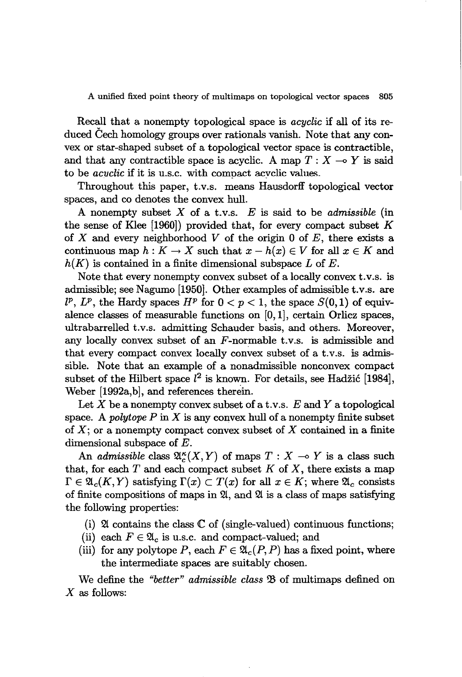Recall that a nonempty topological space is *acyclic* if all of its reduced Cech homology groups over rationals vanish. Note that any convex or star-shaped subset of a topological vector space is contractible, and that any contractible space is acyclic. A map  $T : X \longrightarrow Y$  is said to be *acvclic* if it is u.s.c. with compact acyclic values.

Throughout this paper, t.v.s. means Hausdorff topological vector spaces, and co denotes the convex hull.

A nonempty subset X of a t.v.s. *E* is said to be *admissible* (in the sense of Klee [1960)) provided that, for every compact subset *K* of X and every neighborhood V of the origin 0 of  $E$ , there exists a continuous map  $h: K \to X$  such that  $x - h(x) \in V$  for all  $x \in K$  and  $h(K)$  is contained in a finite dimensional subspace L of E.

Note that every nonempty convex subset of a locally convex t.v.s. is admissible; see Nagumo [1950]. Other examples of admissible t.v.s. are  $l^p$ ,  $L^p$ , the Hardy spaces  $H^p$  for  $0 < p < 1$ , the space  $S(0,1)$  of equivalence classes of measurable functions on [0, 1], certain Orlicz spaces, ultrabarrelled t.v.s. admitting Schauder basis, and others. Moreover, any locally convex subset of an  $F$ -normable t.v.s. is admissible and that every compact convex locally convex subset of a t.v.s. is admissible. Note that an example of a nonadmissible nonconvex compact subset of the Hilbert space  $l^2$  is known. For details, see Hadžić [1984], Weber [1992a,b], and references therein.

Let X be a nonempty convex subset of a t.v.s. *E* and Y a topological space. A *polytope*  $P$  in  $X$  is any convex hull of a nonempty finite subset of  $X$ ; or a nonempty compact convex subset of X contained in a finite dimensional subspace of E.

An *admissible* class  $\mathfrak{A}_{c}^{\kappa}(X, Y)$  of maps  $T : X \to Y$  is a class such that, for each  $T$  and each compact subset  $K$  of  $X$ , there exists a map  $\Gamma \in \mathfrak{A}_{c}(K,Y)$  satisfying  $\Gamma(x) \subset T(x)$  for all  $x \in K$ ; where  $\mathfrak{A}_{c}$  consists of finite compositions of maps in  $$\mathfrak{A}$ , and  $\mathfrak{A}$  is a class of maps satisfying$ the following properties:

- (i)  $\mathfrak A$  contains the class  $\mathbb C$  of (single-valued) continuous functions;
- (ii) each  $F \in \mathfrak{A}_c$  is u.s.c. and compact-valued; and
- (iii) for any polytope P, each  $F \in \mathfrak{A}_c(P, P)$  has a fixed point, where the intermediate spaces are suitably chosen.

We define the "better" *admissible* class  $\mathfrak{B}$  of multimaps defined on  $X$  as follows: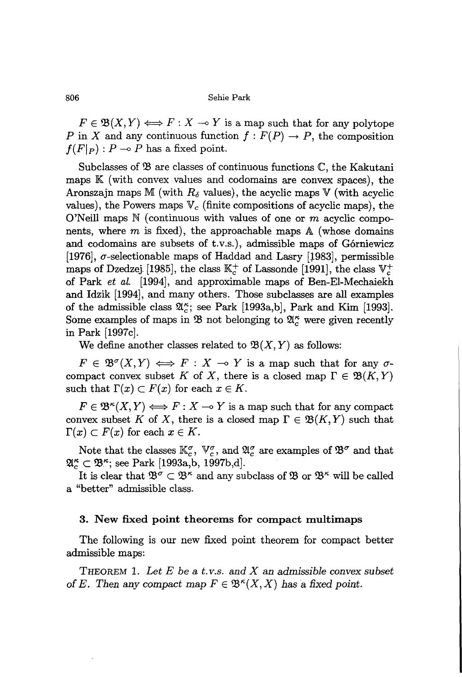$F \in \mathfrak{B}(X, Y) \Longleftrightarrow F: X \multimap Y$  is a map such that for any polytope P in X and any continuous function  $f : F(P) \to P$ , the composition  $f(F|_P)$ :  $P \to P$  has a fixed point.

Subclasses of  $\mathfrak B$  are classes of continuous functions  $\mathbb C$ , the Kakutani maps  $\mathbb{K}$  (with convex values and codomains are convex spaces), the Aronszajn maps M (with  $R_{\delta}$  values), the acyclic maps V (with acyclic values), the Powers maps  $V_c$  (finite compositions of acyclic maps), the O'Neill maps  $N$  (continuous with values of one or m acyclic components, where m is fixed), the approachable maps  $\mathbb A$  (whose domains and codomains are subsets of t.v.s.), admissible maps of G6rniewicz [1976],  $\sigma$ -selectionable maps of Haddad and Lasry [1983], permissible maps of Dzedzej. [1985], the class  $\mathbb{K}_{c}^{+}$  of Lassonde [1991], the class  $\mathbb{V}_{c}^{+}$ of Park *et al.* [1994], and approximable maps of Ben-El-Mechaiekh and Idzik [1994], and many others. Those subclasses are all examples of the admissible class  $\mathfrak{A}_{c}^{\kappa}$ ; see Park [1993a,b], Park and Kim [1993]. Some examples of maps in  $\mathfrak{B}$  not belonging to  $\mathfrak{A}_{c}^{\kappa}$  were given recently in Park [1997c].

We define another classes related to  $\mathfrak{B}(X, Y)$  as follows:

 $F \in \mathfrak{B}^{\sigma}(X, Y) \iff F: X \to Y$  is a map such that for any  $\sigma$ compact convex subset *K* of *X*, there is a closed map  $\Gamma \in \mathfrak{B}(K, Y)$ such that  $\Gamma(x) \subset F(x)$  for each  $x \in K$ .

 $F \in \mathfrak{B}^{\kappa}(X, Y) \Longleftrightarrow F: X \longrightarrow Y$  is a map such that for any compact convex subset K of X, there is a closed map  $\Gamma \in \mathfrak{B}(K, Y)$  such that  $\Gamma(x) \subset F(x)$  for each  $x \in K$ .

Note that the classes  $\mathbb{K}_c^{\sigma}$ ,  $\mathbb{V}_c^{\sigma}$ , and  $\mathfrak{A}_c^{\sigma}$  are examples of  $\mathfrak{B}^{\sigma}$  and that  $\mathfrak{A}_{c}^{\kappa} \subset \mathfrak{B}_{c}^{\kappa}$ ; see Park [1993a,b, 1997b,d].

It is clear that  $\mathfrak{B}^{\sigma} \subset \mathfrak{B}^{\kappa}$  and any subclass of  $\mathfrak{B}$  or  $\mathfrak{B}^{\kappa}$  will be called a "better" admissible class.

## 3. New fixed point theorems for compact multimaps

The following is our new fixed point theorem for compact better admissible maps:

THEOREM 1. *Let E be* a *t. v.s. and X* an *admissible convex subset* of *E*. Then any compact map  $F \in \mathfrak{B}^{\kappa}(X,X)$  has a fixed point.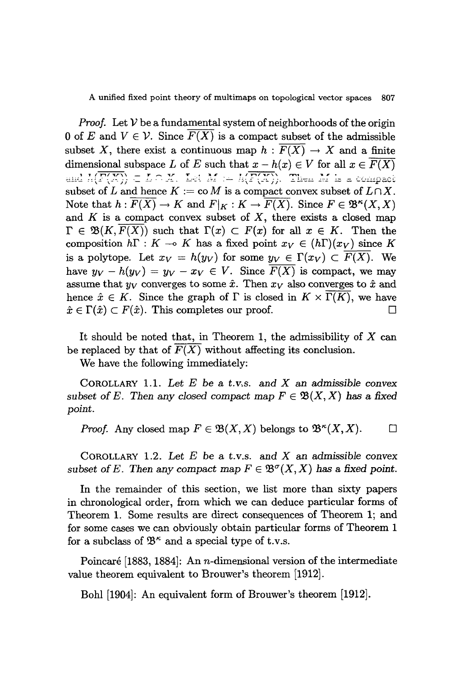*Proof.* Let  $V$  be a fundamental system of neighborhoods of the origin 0 of E and  $V \in \mathcal{V}$ . Since  $F(X)$  is a compact subset of the admissible subset X, there exist a continuous map  $h : \overline{F(X)} \to X$  and a finite dimensional subspace *L* of *E* such that  $x - h(x) \in V$  for all  $x \in \overline{F(X)}$ and  $h(\overline{F(X)}) \subset L \cap X$ . Let  $M := h(\overline{F(X)})$ . Then  $M$  is a compact subset of *L* and hence  $K := \text{co } M$  is a compact convex subset of  $L \cap X$ . Note that  $h: \overline{F(X)} \to K$  and  $F|_K: K \to \overline{F(X)}$ . Since  $F \in \mathfrak{B}^k(X,X)$ and *K* is a compact convex subset of *X,* there exists a closed map  $\Gamma \in \mathfrak{B}(K, F(X))$  such that  $\Gamma(x) \subset F(x)$  for all  $x \in K$ . Then the composition  $h\Gamma : K \multimap K$  has a fixed point  $x_V \in (h\Gamma)(x_V)$  since K is a polytope. Let  $x_V = h(y_V)$  for some  $y_V \in \Gamma(x_V) \subset \overline{F(X)}$ . We have  $y_V - h(y_V) = y_V - x_V \in V$ . Since  $F(X)$  is compact, we may assume that  $y_V$  converges to some  $\hat{x}$ . Then  $x_V$  also converges to  $\hat{x}$  and hence  $\hat{x} \in K$ . Since the graph of  $\Gamma$  is closed in  $K \times \Gamma(K)$ , we have  $\hat{x} \in \Gamma(\hat{x}) \subset F(\hat{x})$ . This completes our proof.

It should be noted that, in Theorem 1, the admissibility of  $X$  can be replaced by that of  $F(X)$  without affecting its conclusion.

We have the following immediately:

COROLLARY 1.1. *Let E* be a *t. v.s.* and *X* an *admissible convex* subset of E. Then any closed compact map  $F \in \mathfrak{B}(X, X)$  has a fixed *point.*

*Proof.* Any closed map  $F \in \mathfrak{B}(X, X)$  belongs to  $\mathfrak{B}^{\kappa}(X, X)$ .  $\Box$ 

COROLLARY 1.2. *Let E* be a t.v.s. and *X* an *admissible convex subset of E*. Then any *compact* map  $F \in \mathfrak{B}^{\sigma}(X,X)$  has a fixed point.

In the remainder of this section, we list more than sixty papers in chronological order, from which we can deduce particular forms of Theorem 1. Some results are direct consequences of Theorem 1; and for some cases we can obviously obtain particular forms of Theorem 1 for a subclass of  $\mathfrak{B}^{\kappa}$  and a special type of t.v.s.

Poincaré [1883, 1884]: An *n*-dimensional version of the intermediate value theorem equivalent to Brouwer's theorem [1912].

Bohl [1904]: An equivalent form of Brouwer's theorem [1912].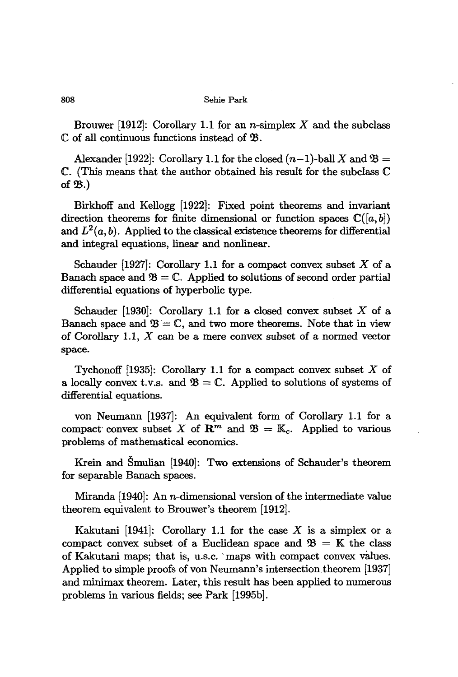Brouwer [1912]: Corollary 1.1 for an *n*-simplex  $X$  and the subclass  $\mathbb C$  of all continuous functions instead of  $\mathfrak B$ .

Alexander [1922]: Corollary 1.1 for the closed  $(n-1)$ -ball X and  $\mathfrak{B} =$  $\mathbb C$ . (This means that the author obtained his result for the subclass  $\mathbb C$ of  $\mathfrak{B}$ .)

Birkhoff and Kellogg [1922]: Fixed point theorems and invariant direction theorems for finite dimensional or function spaces  $\mathbb{C}([a, b])$ and  $L^2(a, b)$ . Applied to the classical existence theorems for differential and integral equations, linear and nonlinear.

Schauder [1927]: Corollary 1.1 for a compact convex subset  $X$  of a Banach space and  $\mathfrak{B} = \mathbb{C}$ . Applied to solutions of second order partial differential equations of hyperbolic type.

Schauder [1930]: Corollary 1.1 for a closed convex subset  $X$  of a Banach space and  $\mathfrak{B} = \mathbb{C}$ , and two more theorems. Note that in view of Corollary 1.1,  $X$  can be a mere convex subset of a normed vector space.

Tychonoff [1935]: Corollary 1.1 for a compact convex subset  $X$  of a locally convex t.v.s. and  $\mathfrak{B} = \mathbb{C}$ . Applied to solutions of systems of differential equations.

von Neumann [1937]: An equivalent form of Corollary 1.1 for a compact convex subset X of  $\mathbb{R}^m$  and  $\mathfrak{B} = \mathbb{K}_c$ . Applied to various problems of mathematical economics.

Krein and Smulian [1940]: Two extensions of Schauder's theorem for separable Banach spaces.

Miranda [1940]: An n-dimensional version of the intermediate value theorem equivalent to Brouwer's theorem [1912].

Kakutani [1941]: Corollary 1.1 for the case X is a simplex or a compact convex subset of a Euclidean space and  $\mathfrak{B} = \mathbb{K}$  the class of Kakutani maps; that is, u.s.c. `maps with compact convex values. Applied to simple proofs of von Neumann's intersection theorem [1937] and minimax theorem. Later, this result has been applied to numerous problems in various fields; see Park [1995b].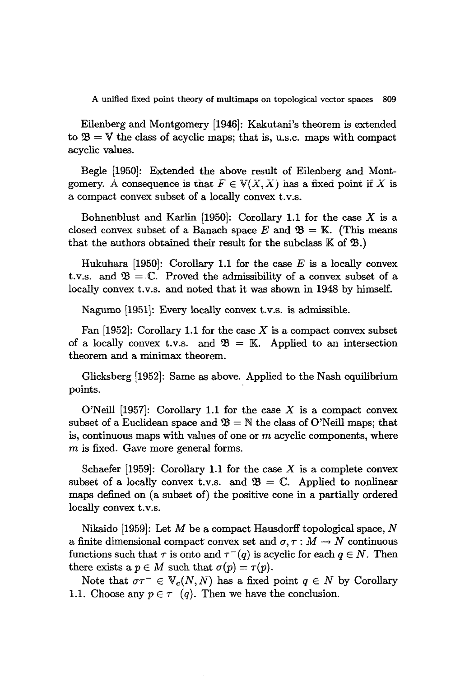Eilenberg and Montgomery [1946]: Kakutani's theorem is extended to  $\mathfrak{B} = \mathbb{V}$  the class of acyclic maps; that is, u.s.c. maps with compact acyclic values.

Begle [1950]: Extended the above result of Eilenberg and Montgomery. A consequence is that  $F \in V(X, X)$  has a fixed point if X is a compact convex subset of a locally convex t.v.s.

Bohnenblust and Karlin  $[1950]$ : Corollary 1.1 for the case X is a closed convex subset of a Banach space E and  $\mathfrak{B} = \mathbb{K}$ . (This means that the authors obtained their result for the subclass  $K$  of  $\mathfrak{B}$ .)

Hukuhara [1950]: Corollary 1.1 for the case E is a locally convex t.v.s. and  $\mathfrak{B} = \mathbb{C}$ . Proved the admissibility of a convex subset of a locally convex t.v.s. and noted that it was shown in 1948 by himself.

Nagumo [1951]: Every locally convex t.v.s. is admissible.

Fan  $[1952]$ : Corollary 1.1 for the case X is a compact convex subset of a locally convex t.v.s. and  $\mathfrak{B} = \mathbb{K}$ . Applied to an intersection theorem and a minimax theorem.

Glicksberg [1952]: Same as above. Applied to the Nash equilibrium points.

O'Neill  $[1957]$ : Corollary 1.1 for the case X is a compact convex subset of a Euclidean space and  $\mathfrak{B} = \mathbb{N}$  the class of O'Neill maps; that is, continuous maps with values of one or  $m$  acyclic components, where  $m$  is fixed. Gave more general forms.

Schaefer [1959]: Corollary 1.1 for the case X is a complete convex subset of a locally convex t.v.s. and  $\mathfrak{B} = \mathbb{C}$ . Applied to nonlinear maps defined on (a subset of) the positive cone in a partially ordered locally convex t.v.s.

Nikaido [1959]: Let M be a compact Hausdorff topological space,  $N$ a finite dimensional compact convex set and  $\sigma, \tau : M \to N$  continuous functions such that  $\tau$  is onto and  $\tau^{-}(q)$  is acyclic for each  $q \in N$ . Then there exists a  $p \in M$  such that  $\sigma(p) = \tau(p)$ .

Note that  $\sigma \tau^- \in V_c(N, N)$  has a fixed point  $q \in N$  by Corollary 1.1. Choose any  $p \in \tau^-(q)$ . Then we have the conclusion.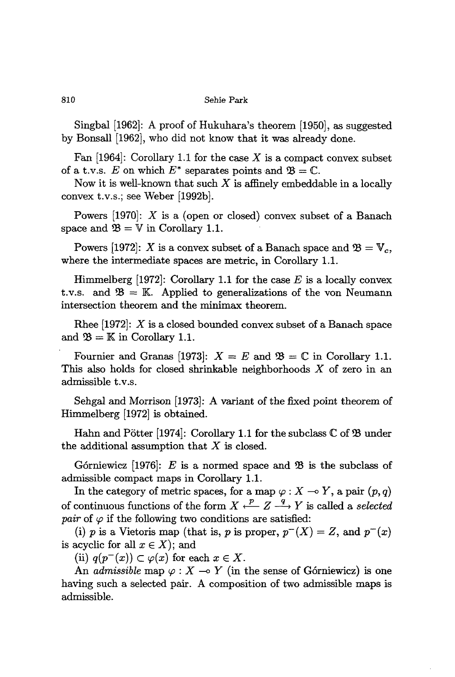Singbal [1962]: A proof of Hukuhara's theorem [1950], as suggested by Bonsall [1962], who did not know that it was already done.

Fan [1964]: Corollary 1.1 for the case X is a compact convex subset of a t.v.s. E on which  $E^*$  separates points and  $\mathfrak{B} = \mathbb{C}$ .

Now it is well-known that such  $X$  is affinely embeddable in a locally convex t.v.s.; see Weber [1992b].

Powers [1970]: X is a (open or closed) convex subset of a Banach space and  $\mathfrak{B} = \mathbb{V}$  in Corollary 1.1.

Powers [1972]: X is a convex subset of a Banach space and  $\mathfrak{B} = \mathbb{V}_c$ , where the intermediate spaces are metric, in Corollary 1.1.

Himmelberg [1972]: Corollary 1.1 for the case *E* is a locally convex t.v.s. and  $\mathfrak{B} = \mathbb{K}$ . Applied to generalizations of the von Neumann intersection theorem and the minimax theorem.

Rhee  $[1972]$ : X is a closed bounded convex subset of a Banach space and  $\mathfrak{B} = \mathbb{K}$  in Corollary 1.1.

Fournier and Granas [1973]:  $X = E$  and  $\mathfrak{B} = \mathbb{C}$  in Corollary 1.1. This also holds for closed shrinkable neighborhoods X of zero in an admissible t.v.s.

Sehgal and Morrison [1973]: A variant of the fixed point theorem of Himmelberg [1972] is obtained.

Hahn and Pötter [1974]: Corollary 1.1 for the subclass  $\mathbb C$  of  $\mathfrak B$  under the additional assumption that  $X$  is closed.

Górniewicz  $(1976)$ : *E* is a normed space and  $\mathfrak{B}$  is the subclass of admissible compact maps in Corollary 1.1.

In the category of metric spaces, for a map  $\varphi : X \to Y$ , a pair  $(p, q)$ of continuous functions of the form  $X \xleftarrow{p} Z \xrightarrow{q} Y$  is called a *selected pair* of  $\varphi$  if the following two conditions are satisfied:

(i) *p* is a Vietoris map (that is, *p* is proper,  $p^{-1}(X) = Z$ , and  $p^{-1}(x)$ is acyclic for all  $x \in X$ ; and

(ii)  $q(p^{-}(x)) \subset \varphi(x)$  for each  $x \in X$ .

An *admissible* map  $\varphi$ :  $X \to Y$  (in the sense of Górniewicz) is one having such a selected pair. A composition of two admissible maps is admissible.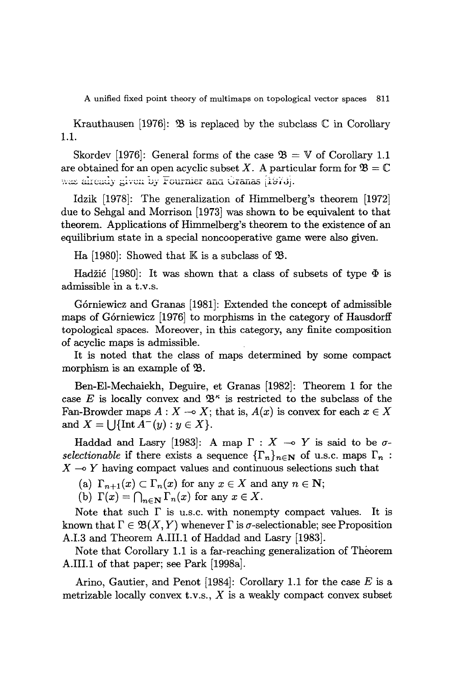Krauthausen [1976]:  $\mathfrak{B}$  is replaced by the subclass C in Corollary 1.1.

Skordev [1976]: General forms of the case  $\mathfrak{B} = V$  of Corollary 1.1 are obtained for an open acyclic subset X. A particular form for  $\mathfrak{B} = \mathbb{C}$ was already given by Fournier and Granas [1973].

Idzik [1978]: The generalization of Himmelberg's theorem [1972] due to Sehgal and Morrison [1973] was shown to be equivalent to that theorem. Applications of Himmelberg's theorem to the existence of an equilibrium state in a special noncooperative game were also given.

Ha [1980]: Showed that  $K$  is a subclass of  $\mathfrak{B}$ .

Hadžić [1980]: It was shown that a class of subsets of type  $\Phi$  is admissible in a t.V.s.

Górniewicz and Granas [1981]: Extended the concept of admissible maps of G6rniewicz [1976] to morphisms in the category of Hausdorff topological spaces. Moreover, in this category, any finite composition of acyclic maps is admissible.

It is noted that the class of maps determined by some compact morphism is an example of  $\mathfrak{B}$ .

Ben-EI-Mechaiekh, Deguire, et Granas [1982]: Theorem 1 for the case E is locally convex and  $\mathfrak{B}^{\kappa}$  is restricted to the subclass of the Fan-Browder maps  $A: X \rightarrow X$ ; that is,  $A(x)$  is convex for each  $x \in X$ and  $X = \bigcup \{ \text{Int } A^-(y) : y \in X \}.$ 

Haddad and Lasry [1983]: A map  $\Gamma : X \multimap Y$  is said to be  $\sigma$ *selectionable* if there exists a sequence  $\{\Gamma_n\}_{n\in\mathbb{N}}$  of u.s.c. maps  $\Gamma_n$ :  $X \rightarrow Y$  having compact values and continuous selections such that

(a)  $\Gamma_{n+1}(x) \subset \Gamma_n(x)$  for any  $x \in X$  and any  $n \in \mathbb{N}$ ;

(b)  $\Gamma(x) = \bigcap_{n \in \mathbb{N}} \Gamma_n(x)$  for any  $x \in X$ .

Note that such  $\Gamma$  is u.s.c. with nonempty compact values. It is known that  $\Gamma \in \mathfrak{B}(X, Y)$  whenever  $\Gamma$  is  $\sigma$ -selectionable; see Proposition A.I.3 and Theorem A.IlLl of Haddad and Lasry [1983].

Note that Corollary 1.1 is a far-reaching generalization of Theorem A.IlLl of that paper; see Park [1998a].

Arino, Gautier, and Penot [1984]: Corollary 1.1 for the case *E* is a metrizable locally convex t.v.s.,  $X$  is a weakly compact convex subset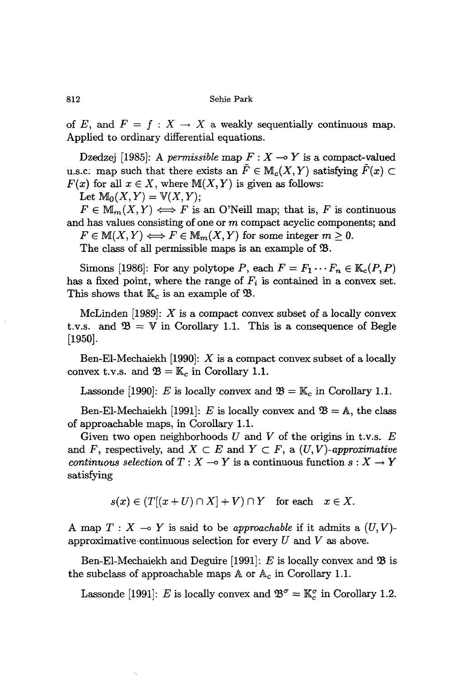of E, and  $F = f : X \to X$  a weakly sequentially continuous map. Applied to ordinary differential equations.

Dzedzej [1985]: A *permissible* map  $F: X \rightarrow Y$  is a compact-valued u.s.c: map such that there exists an  $\tilde{F} \in M_c(X, Y)$  satisfying  $\tilde{F}(x) \subset$  $F(x)$  for all  $x \in X$ , where  $M(X, Y)$  is given as follows:

Let  $M_0(X, Y) = V(X, Y);$ 

 $F \in M_{m}(X,Y) \Longleftrightarrow F$  is an O'Neill map; that is, F is continuous and has values consisting of one or  $m$  compact acyclic components; and  $F \in M(X, Y) \Longleftrightarrow F \in M_m(X, Y)$  for some integer  $m \geq 0$ .

The class of all permissible maps is an example of  $\mathfrak{B}$ .

Simons [1986]: For any polytope *P*, each  $F = F_1 \cdots F_n \in \mathbb{K}_c(P, P)$ has a fixed point, where the range of  $F_i$  is contained in a convex set. This shows that  $\mathbb{K}_c$  is an example of  $\mathfrak{B}$ .

McLinden [1989]:  $X$  is a compact convex subset of a locally convex t.v.s. and  $\mathfrak{B} = V$  in Corollary 1.1. This is a consequence of Begle [1950].

Ben-El-Mechaiekh [1990]:  $X$  is a compact convex subset of a locally convex t.v.s. and  $\mathfrak{B} = \mathbb{K}_c$  in Corollary 1.1.

Lassonde [1990]: *E* is locally convex and  $\mathfrak{B} = \mathbb{K}_c$  in Corollary 1.1.

Ben-El-Mechaiekh [1991]: *E* is locally convex and  $\mathfrak{B} = \mathbb{A}$ , the class of approachable maps, in Corollary 1.1.

Given two open neighborhoods  $U$  and  $V$  of the origins in t.v.s.  $E$ and *F*, respectively, and  $X \subset E$  and  $Y \subset F$ , a  $(U, V)$ -approximative *continuous selection* of  $T : X \to Y$  is a continuous function  $s : X \to Y$ satisfying

$$
s(x) \in (T[(x+U) \cap X] + V) \cap Y \quad \text{for each} \quad x \in X.
$$

A map  $T: X \to Y$  is said to be *approachable* if it admits a  $(U, V)$ approximative continuous selection for every U and V as above.

Ben-El-Mechaiekh and Deguire [1991]:  $E$  is locally convex and  $\mathfrak{B}$  is the subclass of approachable maps  $A$  or  $A_c$  in Corollary 1.1.

Lassonde [1991]: E is locally convex and  $\mathfrak{B}^{\sigma} = \mathbb{K}_{c}^{\sigma}$  in Corollary 1.2.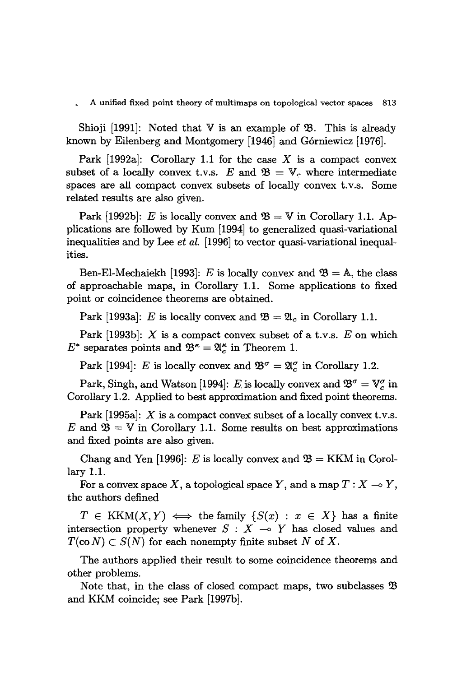Shioji [1991]: Noted that  $V$  is an example of  $\mathcal{B}$ . This is already known by Eilenberg and Montgomery [1946] and Górniewicz [1976].

Park  $[1992a]$ : Corollary 1.1 for the case X is a compact convex subset of a locally convex t.v.s.  $E$  and  $\mathfrak{B} = \mathbb{V}_c$ , where intermediate spaces are all compact convex subsets of locally convex t.v.s. Some related results are also given.

Park [1992b]: *E* is locally convex and  $\mathfrak{B} = \mathbb{V}$  in Corollary 1.1. Applications are followed by Kum [1994] to generalized quasi-variational inequalities and by Lee *et al.* [1996] to vector quasi-variational inequalities.

Ben-El-Mechaiekh [1993]: *E* is locally convex and  $\mathfrak{B} = \mathbb{A}$ , the class of approachable maps, in Corollary 1.1. Some applications to fixed point or coincidence theorems are obtained.

Park [1993a]: *E* is locally convex and  $\mathfrak{B} = \mathfrak{A}_c$  in Corollary 1.1.

Park [1993b]: X is a compact convex subset of a t.v.s. *E* on which  $E^*$  separates points and  $\mathfrak{B}^\kappa = \mathfrak{A}^\kappa_c$  in Theorem 1.

Park [1994]: *E* is locally convex and  $\mathfrak{B}^{\sigma} = \mathfrak{A}_{c}^{\sigma}$  in Corollary 1.2.

Park, Singh, and Watson [1994]: *E* is locally convex and  $\mathfrak{B}^{\sigma} = \mathbb{V}_{c}^{\sigma}$  in Corollary 1.2. Applied to best approximation and fixed point theorems.

Park  $[1995a]$ : X is a compact convex subset of a locally convex t.v.s.  $E$  and  $\mathfrak{B} = V$  in Corollary 1.1. Some results on best approximations and fixed points are also given.

Chang and Yen [1996]: *E* is locally convex and  $\mathfrak{B} = KKM$  in Corollary 1.1.

For a convex space X, a topological space Y, and a map  $T : X \multimap Y$ , the authors defined

 $T \in KKM(X, Y) \iff$  the family  $\{S(x) : x \in X\}$  has a finite intersection property whenever  $S : X \rightarrow Y$  has closed values and  $T(\mathbf{co}\,N) \subset S(N)$  for each nonempty finite subset N of X.

The authors applied their result to some coincidence theorems and other problems.

Note that, in the class of closed compact maps, two subclasses  $\mathfrak B$ and KKM coincide; see Park [1997b].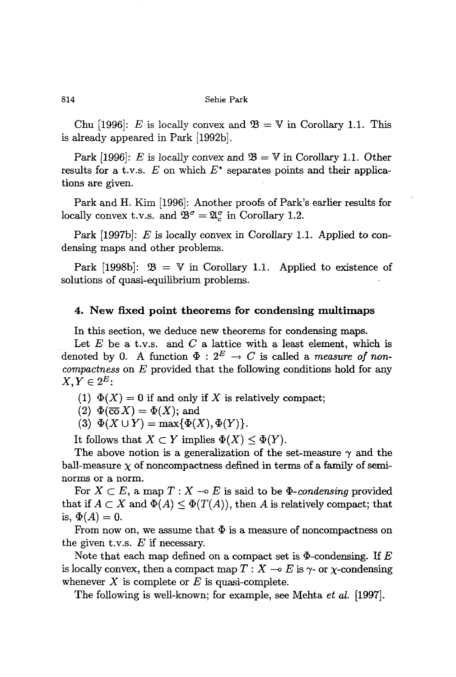Chu [1996]: E is locally convex and  $\mathfrak{B} = \mathbb{V}$  in Corollary 1.1. This is already appeared in Park [1992b].

Park [1996]: *E* is locally convex and  $\mathfrak{B} = \mathbb{V}$  in Corollary 1.1. Other results for a t.v.s.  $E$  on which  $E^*$  separates points and their applications are given.

Park and H. Kim [1996]: Another proofs of Park's earlier results for locally convex t.v.s. and  $\mathfrak{B}^{\sigma} = \mathfrak{A}^{\sigma}_{\rm c}$  in Corollary 1.2.

Park [1997b]: E is locally convex in Corollary 1.1. Applied to condensing maps and other problems.

Park [1998b]:  $\mathfrak{B} = \mathbb{V}$  in Corollary 1.1. Applied to existence of solutions of quasi-equilibrium problems.

# **4. New fixed point theorems for condensing multimaps**

In this section, we deduce new theorems for condensing maps.

Let  $E$  be a t.v.s. and  $C$  a lattice with a least element, which is denoted by 0. A function  $\Phi: 2^E \to C$  is called a *measure* of *noncompactness* on *E* provided that the following conditions hold for any  $X, Y \in 2^E$ 

(1)  $\Phi(X) = 0$  if and only if X is relatively compact;

 $(2) \Phi(\overline{\text{co}} X) = \Phi(X);$  and

(3)  $\Phi(X \cup Y) = \max{\{\Phi(X), \Phi(Y)\}}$ .

It follows that  $X \subset Y$  implies  $\Phi(X) \leq \Phi(Y)$ .

The above notion is a generalization of the set-measure  $\gamma$  and the ball-measure  $\chi$  of noncompactness defined in terms of a family of seminorms or a norm.

For  $X \subset E$ , a map  $T : X \to E$  is said to be  $\Phi$ -*condensing* provided that if  $A \subset X$  and  $\Phi(A) \leq \Phi(T(A))$ , then A is relatively compact; that is,  $\Phi(A) = 0$ .

From now on, we assume that  $\Phi$  is a measure of noncompactness on the given t.v.s. *E* if necessary.

Note that each map defined on a compact set is  $\Phi$ -condensing. If  $E$ is locally convex, then a compact map  $T : X \longrightarrow E$  is  $\gamma$ - or  $\chi$ -condensing whenever  $X$  is complete or  $E$  is quasi-complete.

The following is well-known; for example, see Mehta et *al.* [1997].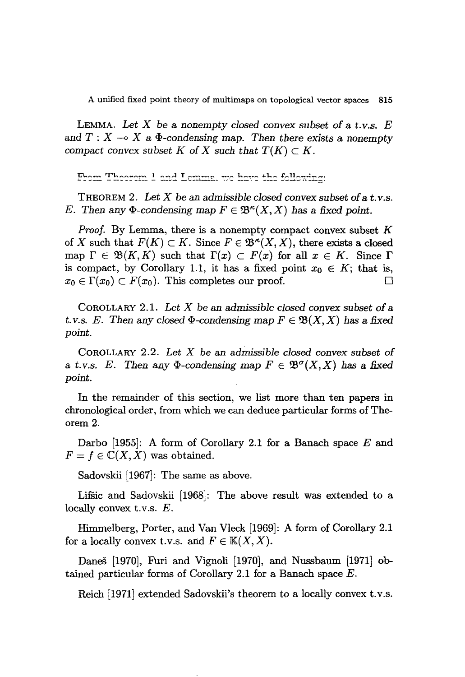LEMMA. *Let* X be a *nonempty closed convex subset* of a t.*V.s. E* and  $T: X \rightarrow X$  a  $\Phi$ -condensing map. Then there exists a nonempty *compact convex subset K of X such that*  $T(K) \subset K$ .

From Theorom 1 and Lemma, we have the following:

THEOREM 2. *Let* X be an *admissible closed convex subset of*at.*v.s. E.* Then any  $\Phi$ -condensing map  $F \in \mathfrak{B}^{\kappa}(X, X)$  has a fixed point.

*Proof.* By Lemma, there is a nonempty compact convex subset *K* of X such that  $F(K) \subset K$ . Since  $F \in \mathfrak{B}^{\kappa}(X, X)$ , there exists a closed map  $\Gamma \in \mathfrak{B}(K,K)$  such that  $\Gamma(x) \subset F(x)$  for all  $x \in K$ . Since  $\Gamma$ is compact, by Corollary 1.1, it has a fixed point  $x_0 \in K$ ; that is,  $x_0 \in \Gamma(x_0) \subset F(x_0)$ . This completes our proof.

COROLLARY 2.1. *Let* X be an *admissible closed convex subset* of a t.v.s. *E.* Then any closed  $\Phi$ -condensing map  $F \in \mathfrak{B}(X,X)$  has a fixed *point.*

COROLLARY 2.2. *Let* X be an *admissible closed convex subset* of a t.v.s. E. Then any  $\Phi$ -condensing map  $F \in \mathfrak{B}^{\sigma}(X,X)$  has a fixed *point.*

In the remainder of this section, we list more than ten papers in chronological order, from which we can deduce particular forms of Theorem 2.

Darbo [1955]: A form of Corollary 2.1 for a Banach space *E* and  $F = f \in \mathbb{C}(X,X)$  was obtained.

Sadovskii [1967]: The same as above.

Lifsic and Sadovskii [1968]: The above result was extended to a locally convex t.v.s. E.

Himmelberg, Porter, and Van Vleck [1969]: A form of Corollary 2.1 for a locally convex t.v.s. and  $F \in K(X, X)$ .

Daneš [1970], Furi and Vignoli [1970], and Nussbaum [1971] obtained particular forms of Corollary 2.1 for a Banach space  $E$ .

Reich [1971] extended Sadovskii's theorem to a locally convex t.v.s.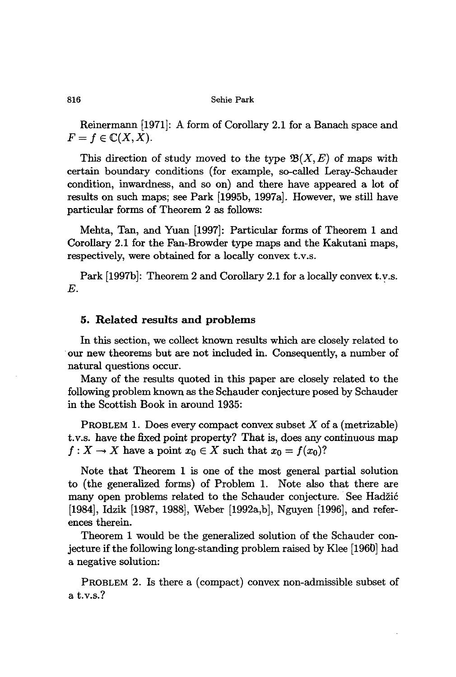Reinermann [1971]: A form of Corollary 2.1 for a Banach space and  $F = f \in \mathbb{C}(X,X).$ 

This direction of study moved to the type  $\mathfrak{B}(X, E)$  of maps with certain boundary conditions (for example, so-called Leray-Schauder condition, inwardness, and so on) and there have appeared a lot of results on such maps; see Park [1995b, 1997a]. However, we still have particular forms of Theorem 2 as follows:

Mehta, Tan, and Yuan [1997]: Particular forms of Theorem 1 and Corollary 2.1 for the Fan-Browder type maps and the Kakutani maps, respectively, were obtained for a locally convex t.v.s.

Park [1997b]: Theorem 2 and Corollary 2.1 for a locally convex t.v.s. *E.*

# 5. Related results and problems

In this section, we collect known results which are closely related to our new theorems but are not included in. Consequently, a number of natural questions occur.

Many of the results quoted in this paper are closely related to the following problem known as the Schauder conjecture posed by Schauder in the Scottish Book in around 1935:

**PROBLEM 1.** Does every compact convex subset  $X$  of a (metrizable) t.v.s. have the fixed point property? That is, does any continuous map  $f: X \to X$  have a point  $x_0 \in X$  such that  $x_0 = f(x_0)$ ?

Note that Theorem 1 is one of the most general partial solution to (the generalized forms) of Problem 1. Note also that there are many open problems related to the Schauder conjecture. See Hadzic [1984], Idzik [1987, 1988], Weber [1992a,b], Nguyen [1996], and references therein.

Theorem 1 would be the generalized solution of the Schauder conjecture if the following long-standing problem raised by Klee [1960] had a negative solution:

PROBLEM 2. Is there a (compact) convex non-admissible subset of a t.v.s.?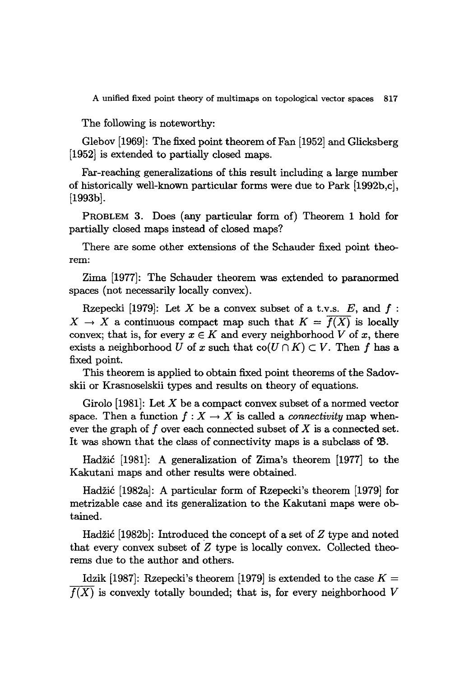The following is noteworthy:

Glebov [1969]: The fixed point theorem of Fan [1952] and Glicksberg [1952] is extended to partially closed maps.

Far-reaching generalizations of this result including a large number of historically well-known particular forms were due to Park [1992b,cj, [1993b].

PROBLEM 3. Does (any particular form of) Theorem 1 hold for partially closed maps instead of closed maps?

There are some other extensions of the Schauder fixed point theorem:

Zima [1977]: The Schauder theorem was extended to paranormed spaces (not necessarily locally convex).

Rzepecki [1979]: Let X be a convex subset of a t.v.s.  $E$ , and  $f$ :  $X \rightarrow X$  a continuous compact map such that  $K = \overline{f(X)}$  is locally convex; that is, for every  $x \in K$  and every neighborhood *V* of *x*, there exists a neighborhood *U* of *x* such that  $\text{co}(U \cap K) \subset V$ . Then f has a fixed point.

This theorem is applied to obtain fixed point theorems of the Sadovskii or Krasnoselskii types and results on theory of equations.

Girolo [1981]: Let *X* be a compact convex subset of a normed vector space. Then a function  $f: X \to X$  is called a *connectivity* map whenever the graph of f over each connected subset of *X* is a connected set. It was shown that the class of connectivity maps is a subclass of  $$\mathfrak{B}$ .$ 

Hadzic [1981]: A generalization of Zima's theorem [1977] to the Kakutani maps and other results were obtained.

Hadzic [1982a]: A particular form of Rzepecki's theorem [1979] for metrizable case and its generalization to the Kakutani maps were obtained.

Hadžić [1982b]: Introduced the concept of a set of *Z* type and noted that every convex subset of Z type is locally convex. Collected theorems due to the author and others.

Idzik [1987]: Rzepecki's theorem [1979] is extended to the case  $K =$  $f(X)$  is convexly totally bounded; that is, for every neighborhood  $V$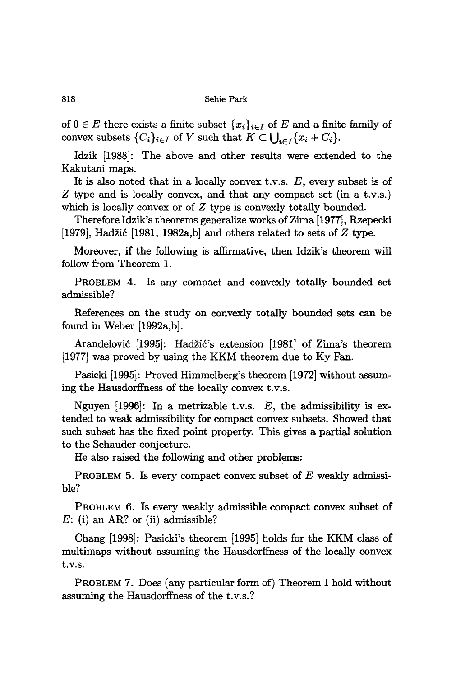of  $0 \in E$  there exists a finite subset  $\{x_i\}_{i \in I}$  of  $E$  and a finite family of convex subsets  $\{C_i\}_{i\in I}$  of *V* such that  $K \subset \bigcup_{i \in I} \{x_i + C_i\}.$ 

Idzik [1988]: The above and other results were extended to the Kakutani maps.

It is also noted that in a locally convex t.v.s.  $E$ , every subset is of *Z* type and is locally convex, and that any compact set (in a t.v.s.) which is locally convex or of *Z* type is convexly totally bounded.

Therefore Idzik's theorems generalize works of Zima [1977], Rzepecki [1979], Hadzic [1981, 1982a,b] and others related to sets of *Z* type.

Moreover, if the following is affirmative, then Idzik's theorem will follow from Theorem l.

PROBLEM 4. Is any compact and convexly totally bounded set admissible?

References on the study on convexly totally bounded sets can be found in Weber [1992a,b].

Arandelović [1995]: Hadžić's extension [1981] of Zima's theorem [1977] was proved by using the KKM theorem due to Ky Fan.

Pasicki [1995]: Proved Himmelberg's theorem [1972] without assuming the Hausdorffness of the locally convex t.v.s.

Nguyen [1996]: In a metrizable t.v.s.  $E$ , the admissibility is extended to weak admissibility for compact convex subsets. Showed that such subset has the fixed point property. This gives a partial solution to the Schauder conjecture.

He also raised the following and other problems:

PROBLEM 5. Is every compact convex subset of *E* weakly admissible?

PROBLEM 6. Is every weakly admissible compact convex subset of *E:* (i) an AR? or (ii) admissible?

Chang [1998]: Pasicki's theorem [1995] holds for the KKM class of multimaps without assuming the Hausdorffness of the locally convex t.v.s.

PROBLEM 7. Does (any particular form of) Theorem 1 hold without assuming the Hausdorffness of the t.v.s.?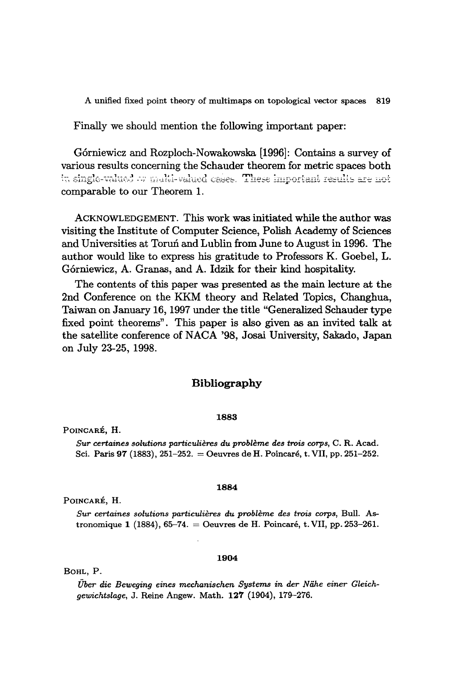Finally we should mention the following important paper:

G6rniewicz and Rozploch-Nowakowska [1996]: Contains a survey of various results concerning the Schauder theorem for metric spaces both in single-valued  $\sim$  multi-valued cases. These important results are not comparable to our Theorem 1.

ACKNOWLEDGEMENT. This work was initiated while the author was visiting the Institute of Computer Science, Polish Academy of Sciences and Universities at Torun and Lublin from June to August in 1996. The author would like to express his gratitude to Professors K. Goebel, L. G6rniewicz, A. Granas, and A. Idzik for their kind hospitality.

The contents of this paper was presented as the main lecture at the 2nd Conference on the KKM theory and Related Topics, Changhua, Taiwan on January 16, 1997 under the title "Generalized Schauder type fixed point theorems". This paper is also given as an invited talk at the satellite conference of NACA '98, Josai University, Sakado, Japan on July 23-25, 1998.

# **Bibliography**

## 1883

POINCARE, H.

*Sur certaines solutions particulieres du probleme des trois corps,* C. R. Acad. Sci. Paris 97 (1883), 251-252. = Oeuvres de H. Poincaré, t. VII, pp. 251-252.

## POINCARE, H.

*Sur certaines solutions particulieres du probleme des trois corps,* Bull. Astronomique 1 (1884), 65-74. = Oeuvres de H. Poincaré, t. VII, pp. 253-261.

1884

#### 1904

## BOHL, P.

*Uber die Beweging eines mechanischen Systems* in *der Niihe einer Gleichgewichtslage,* J. Reine Angew. Math. 121 (1904), 179-276.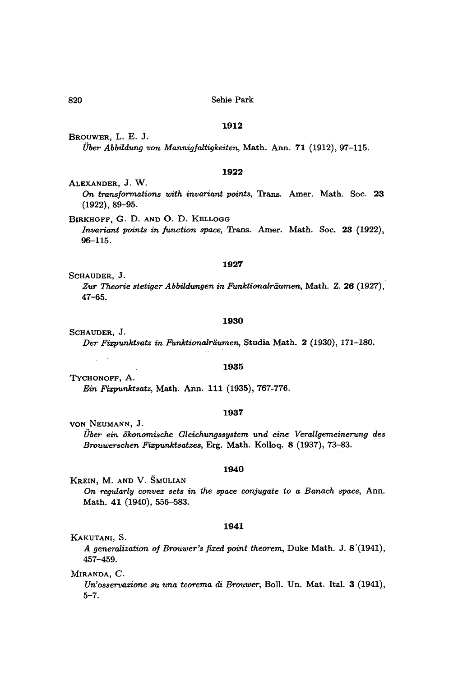## **1912**

BROUWER, L. E. J. *Uber Abbildung von Mannigfaltigkeiten,* Math. Ann. **71** (1912),97-115.

## **1922**

ALEXANDER, J. W. On *transformations with invariant points,* '!rans. Amer. Math. Soc. **23** (1922), 89-95.

BIRKHOFF, G. D. AND O. D. KELLOGG

*Invariant points in junction space,* '!rans. Amer. Math. Soc. **23** (1922), 96-115.

## **1927**

SCHAUDER, J. *Zur Theorie stetiger Abbildungen in Funktionalriiumen,* Math. Z. **26** (1927), 47-65.

#### **1930**

SCHAUDER, J. *Der Fixpunktsatz in Funktionalriiumen,* Studia Math. 2 (1930), 171-180.

#### **1935**

TYCHONOFF, A. *Ein Fixpunktsatz,* Math. Ann. **111** (1935),767-776.

#### **1937**

YON NEUMANN, J. *Uber ein okonomische Gleichungssystem und eine Verallgemeinerung des Brouwerschen Fixpunktsatzes,* Erg. Math. Kolloq. 8 (1937), 73-83.

## **1940**

KREIN, M. AND V. SMULIAN

*On regularly convex sets in the space conjugate* to *a Banach space,* Ann. Math. 41 (1940), 556-583.

#### **1941**

KAKUTANI, S.

 $\omega \rightarrow \gamma$ 

*A generalization of Brouwer's fixed point theorem,* Duke Math. J. 8·(1941), 457-459.

MlRANDA, C.

*Un'osservazione su una teorema di Brouwer,* Ball. Un. Mat. Ital. 3 (1941), 5-7.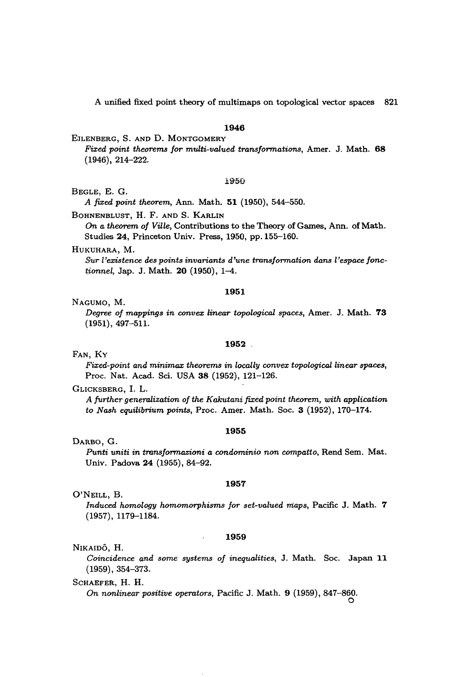## **1946**

## EILENBERG, S. AND D. MONTGOMERY

*Fixed point theorems for multi-valued transformations,* Arner. J. Math. **68** (1946), 214-222.

## 1950

## BEGLE, E. G.

*A fixed point theorem,* Ann. Math. **51** (1950), 544-550.

#### BOHNENBLUST, H. F. AND S. KARLIN

*On a theorem of Ville,* Contributions to the Theory of Games, Ann. of Math. Studies 24, Princeton Univ. Press, 1950, pp. 155-160.

## HUKUHARA, M.

*Sur l'existence des points invariants d'une transformation dans l'espace fonctionnel,* Jap. J. Math. **20** (1950), 1-4.

#### **1951**

## NAGUMO, M.

*Degree of mappings in convex linear topological spaces,* Arner. J. Math. **73** (1951), 497-511.

## **1952**

## FAN, Ky

*Fixed-point and minimax theorems in locally convex topological linear spaces,* Proc. Nat. Acad. Sci. USA 38 (1952), 121-126.

## GLICKSBERG, 1. L.

*A further generalization of the Kakutani fixed point theorem, with application* to *Nash equilibrium points,* Proc. Amer. Math. Soc. 3 (1952), 170-174.

#### **1955**

## DARBO, G.

*Punti uniti in transformazioni a condominio non compatto,* Rend Sern. Mat. Univ. Padova **24** (1955), 84-92.

## **1957**

## O'NEILL, B.

*Induced homology homomorphisms for set-valued maps,* Pacific J. Math. 7 (1957),1179-1184.

## **1959**

#### NIKAIDO, H.

*Coincidence and some systems of inequalities,* J. Math. Soc. Japan **11** (1959), 354-373.

# SCHAEFER, H. H.

*On nonlinear positive operators*, Pacific J. Math. 9 (1959), 847–860.<br>O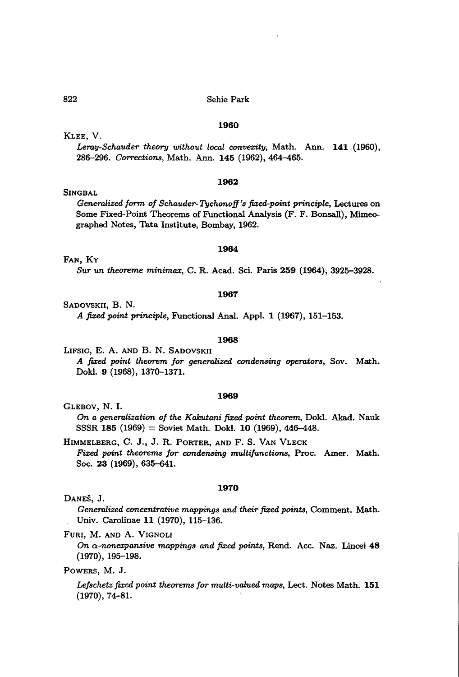#### **1960**

KLEE, V.

SINGBAL

*Leray-Schauder theory without local convexity,* Math. Ann. **141** (1960), *286-296. Corrections,* Math. Ann. **145** (1962), 464-465.

## **1962**

*Generalized form of Schauder-Tychonoff's ji:&ed-point principle,* Lectures on Some Fixed-Point Theorems of Functional Analysis (F. F. Bonsall), Mimeographed Notes, Tata Institute, Bombay, 1962.

#### **1964**

FAN, Ky

*Sur un theoreme minimax,* C. R. Acad. Sci. Paris **259** (1964), 3925-3928.

#### **1967**

SADOVSKII, B. N.

*A ji:&ed point principle,* Functional Anal. Appl. 1 (1967), 151-153.

# **1968**

-LIFSIC, E. A. AND B. N. SADOVSKII *A ji:&ed point theorem for generalized condensing operators,* Sov. Math. Dokl. 9 (1968), 1370-1371.

#### **1969**

GLEBOV, N. I. On *a generalization of the Kakutani ji:&ed point theorem,* Dokl. Akad. Nauk SSSR 185<sup>(1969)</sup> = Soviet Math. Dokl. 10 (1969), 446-448.

HIMMELBERG, C. J., J. R. PORTER, AND F. S. VAN VLECK *Fixed point theorems for condensing multijv.nctions,* Proc. Amer. Math. Soc. 23 (1969), 635-641.

#### **1970**

DANES, J.

*Generalized concentrative mappings and their ji:&ed points,* Comment. Math. Univ. Carolinae 11 (1970), 115-136.

FURl, M. AND A. VIGNOLI

*On*  $\alpha$ -nonexpansive mappings and fixed points, Rend. Acc. Naz. Lincei 48 (1970), 195-198.

POWERS, M. J.

*Lefschetz ji:&ed point theorems for multi-valued maps,* Lect. Notes Math. **151** (1970), 74-81.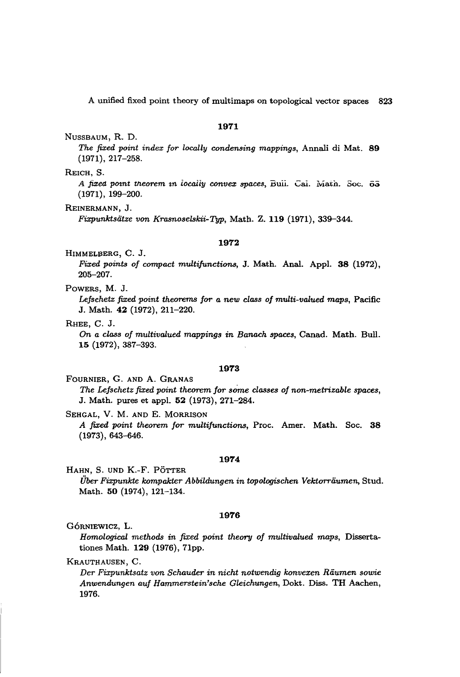## 1971

NUSSBAUM, R. D.

*The fixed point index for locally condensing mappings,* Annali di Mat. 89 (1971),217-258.

REICH, S.

*A fixed. pOtnt tfteorem* tn *locally convex spaces,* Dull. CaL Main. Soc. o~ (1971), 199-200.

REINERMANN, J.

*Fixpunktsiitze von Krasnoselskii-Typ,* Math. Z. 119 (1971),339-344.

## 1972

HIMMELBERG, C. J.

*Fixed points of compact multijunctions,* J. Math. Anal. Appl. 38 (1972), 205-207.

POWERS, M. J.

*LeJschetz fixed point theorems for a new class of multi-valued maps,* Pacific J. Math. 42 (1972), 211-220.

RHEE, C. J.

*On a class of multivalued mappings in Banach spaces,* Canad. Math. Bull. 15 (1972), 387-393.

## 1973

FOURNIER, G. AND A. GRANAS *The Lefschetz fixed point theorem for so"me classes of non-metrizable spaces,* J. Math. pures et appl. 52 (1973), 271-284.

SEHGAL, V. M. AND E. MORRISON *A fixed point theorem for multifunctions,* Proc. Amer. Math. Soc. 38 (1973),643-646.

## 1974

HAHN, S. UND K.-F. POTTER

*Uber Fixpunkte kompakter Abbildv.ngen in topologischen Vektorriiv.men,* Stud. Math. 50 (1974), 121-134.

## 1976

GÓRNIEWICZ, L.

*Homological methods in fixed point theory of multivalued maps,* Dissertationes Math. 129 (1976), 71pp.

KRAUTHAUSEN, C.

*Der Fixpunktsatz von Schauder in nicht notwendig konvexen Riiv.men sowie Anwendv.ngen auf Hammerstein'sche Gleichungen,* Dokt. Diss. TH Aachen, 1976.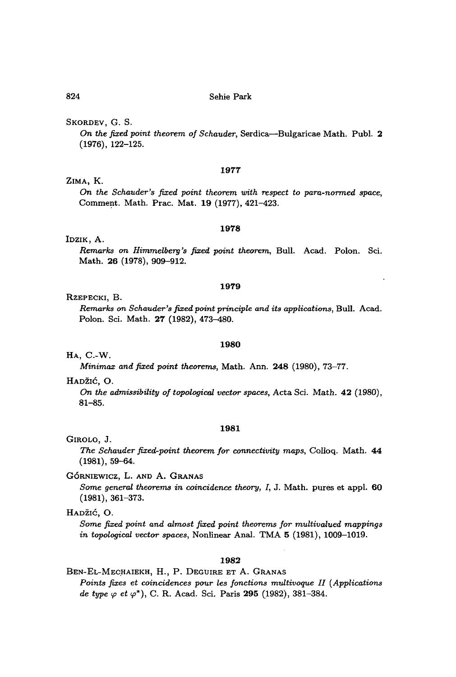SKORDEV, G. S.

*On the fixed point theorem of Schauder,* Serdica-Bulgaricae Math. Publ. 2 (1976), 122-125.

## **1977**

# ZIMA, K.

*On the Schauder's fixed point theorem with respect to para-normed space,* Comment. Math. Prac. Mat. 19 (1977), 421-423.

## **1978**

## IDZIK, A.

*Remarks* on *Himmelbery's fixed point theorem*, Bull. Acad. Polon. Sci. Math. **26** (1978), 909-912.

#### **1979**

## RZEPECKI, B.

*Remarks on Schauder's fixed point principle and* its *applications,* Bull. Aead. Polon. Sci. Math. 27 (1982), 473-480.

## **1980**

HA, C.-W.

*Minimax and fixed point theorems,* Math. Ann. **248** (1980),73-77.

HADŽIĆ, O.

On *the admissibility of topologico1 vector spaces,* Acta Sd. Math. **42** (1980), 81-85.

## **1981**

## GIROLO, J.

*The Schauder fixed-point theorem for connectivity maps,* Colloq. Math. **44** (1981), 59-64.

GÓRNIEWICZ, L. AND A. GRANAS

*Some general theorems in coincidence theory, I,* J. Math. pures et appl. **60** (1981), 361-373.

HADŽIĆ, O.

*Some fixed point and almost fixed point theorems for multivalued mappings in topological vector spaces,* Nonlinear Anal. TMA 5 (1981), 1009-1019.

## **1982**

BEN-EL-MECHAIEKH, H., P. DEGUIRE ET A. GRANAS *Points fixes et coincidences pour les fonctions multivoque II (Applications de type*  $\varphi$  *et*  $\varphi^*$ ), C. R. Acad. Sci. Paris 295 (1982), 381-384.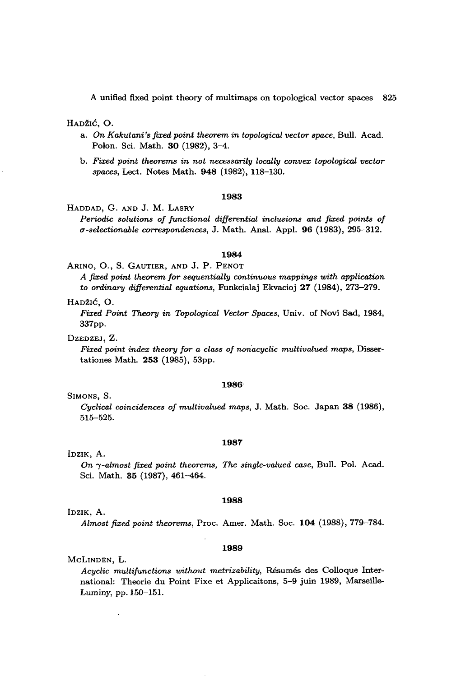HADŽIĆ, O.

- a. *On Kakutani's fixed point theorem in topological vector space,* Bull. Acad. Polon. Sci. Math. 30 (1982), 3-4.
- b. *Fixed point theorems in not necessarily locally convex topological vector spaces,* Lect. Notes Math. 948 (1982), 118-130.

## 1983

HADDAD, G. AND J. M. LASRY

*Periodic solutions of functional differential inclusions and fixed points of u-selectionable correspondences,* J. Math. Anal. Appl. 96 (1983), 295-312.

#### 1984

ARINO, 0., S. GAUTIER, AND J. P. PENOT

*A fixed point theorem for sequentially continuous mappings with application to ordinary differential equations,* Funkcialaj Ekvacioj 27 (1984), 273-279.

HADZIC, O.

*Fixed Point Theory in Topological Vector Spaces,* Univ. of Novi Sad, 1984, 337pp.

DZEDZEJ, Z.

*Fixed point index theory for a class of nonacyclic multivalued maps,* Dissertationes Math. 253 (1985), 53pp.

#### 1986'

SIMONS, S.

*Cyclical coincidences of multivalued maps,* J. Math. Soc. Japan 38 (1986), 515-525.

#### 1987

IDZIK, A.

*On -y-almost fixed point theorems, The single-valued case,* Bull. Pol. Acad. Sci. Math. 35 (1987), 461-464.

#### 1988

IDZIK, A.

*Almost fixed point theorems,* Proc. Amer. Math. Soc. 104 (1988),779-784.

#### 1989

#### McLINDEN, L.

*Acyclic multifunctions without metrizability,* Resumes des Colloque International: Theorie du Point Fixe et Applicaitons, 5-9 juin 1989, Marseille-Luminy, pp. 150-15!.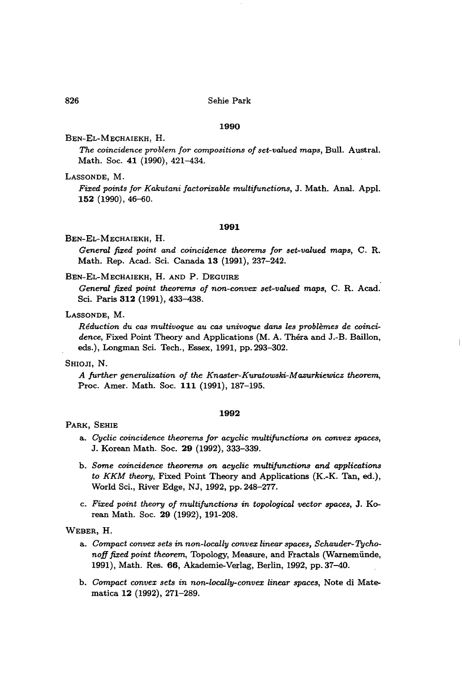#### **1990**

BEN-EL-MECHAIEKH, H.

*The coincidence problem for compositions of set-valued maps, Bull. Austral.* Math. Soc. **41** (1990), 421-434.

LASSONDE, M.

*Fixed points for Kakutani factorizable multifunctions,* J. Math. Anal. Appl. **152** (1990),46-60.

## **1991**

BEN-EL-MECHAIEKH, H.

*Geneml fixed point and coincidence theorems for set-valued maps,* C. R. Math. Rep. Acad. Sci. Canada **13** (1991), 237-242.

BEN-EL-MECHAIEKH, H. AND P. DEGUIRE

*Geneml fixed point theorems of non-convex set-valued maps,* C. R. Acad. Sci. Paris 312 (1991), 433-438.

# LASSONDE, M.

*Reduction du cas multivoque au cas univoque dans les problemes de coincidence,* Fixed Point Theory and Applications (M. A. Thera and J.-B. Baillon, eds.), Longman Sci. Tech., Essex, 1991, pp. 293-302.

## SHIOJI, N.

*A jurther genemlization of the Knaster-Kumtowski-Mazurkiewicz theorem,* Proc. Amer. Math. Soc. **111** (1991), 187-195.

#### **1992**

PARK, SEHIE

- a. *Cyclic coincidence theorems for acyclic multijunctions on convex spaces,* J. Korean Math. Soc. **29** (1992),333-339.
- b. *Some coincidence theorems on acyclic multifunctions and applications to KKM theory,* Fixed Point Theory and Applications (K.-K. Tan, ed.), World Sci., River Edge, NJ, 1992, pp. 248-277.
- c. *Fixed point theory of multifunctions in topological vector spaces,* J. Korean Math. Soc. **29** (1992), 191-208.

WEBER, H.

- a. *Compact convex sets in non-locally convex linear spaces, Schauder- TychonoJJ fixed point theorem,* Topology, Measure, and Fractals (Warnemiinde, 1991), Math. Res. 66, Akademie-Verlag, Berlin, 1992, pp. 37-40.
- b. *Compact convex sets in non-Locally-convex linear spaces,* Note di Matematica **12** (1992), 271-289.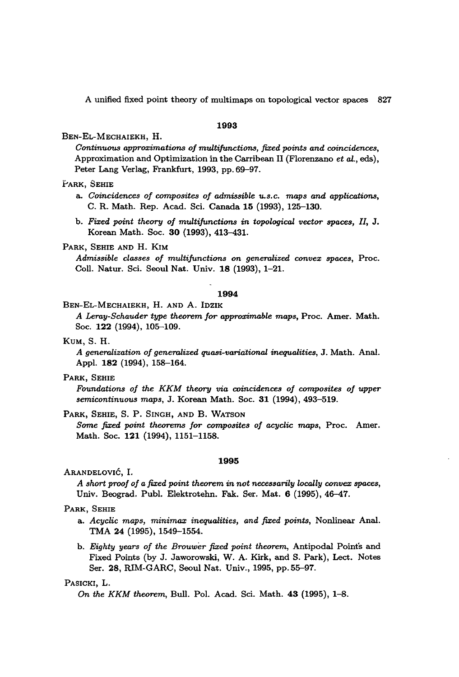## **1993**

BEN-EL-MECHAIEKH, H.

*Continuous approximations of multijunctions, fixed points and coincidences,* Approximation and Optimization in the Carribean II (Florenzano *et al.,* eds), Peter Lang Verlag, Frankfurt, 1993, pp. 69-97.

#### YARK, SEHIE

- a. *Coincidences of composites of admissible u.s.c. maps and applications,* C. R. Math. Rep. Acad. Sci. Canada 15 (1993), 125-130.
- b. *Fixed point theory of multijunctions in topological vector spaces,* 11, J. Korean Math. Soc. **30** (1993), 413-431-

## PARK, SEHIE AND H. KIM

*Admissible classes of multijunctions on generalized convex spaces,* Proc. Coll. Natur. Sci. Seoul Nat. Univ. 18 (1993), 1-21.

#### **1994**

## BEN-EL-MECHAIEKH, H. AND A. IDZIK

*A Leray-Schauder type theorem for approximable maps,* Proc. Amer. Math. Soc. **122** (1994), 105-109.

KUM, S. H.

*A generalization of generalized quasi-variational inequalities,* J. Math. Anal. Appl. **182** (1994), 158-164.

#### PARK, SEHIE

*Foundations of the KKM theory via coincidences of composites of upper semicontinuous maps,* J. Korean Math. Soc. **31** (1994),493-519.

#### PARK, SEHIE, S. P. SINGH, AND B. WATSON

*Some fixed point theorems for composites of acyclic maps,* Proc. Amer. Math. Soc. **121** (1994), 1151-1158.

#### **1995**

ARANDELOVIC, 1.

*A short proof of a fixed point theorem in not necessarily locally convex spaces,* Univ. Beograd. Publ. Elektrotehn. Fak. Ser. Mat. 6 (1995), 46-47.

## PARK, SEHIE

- a. *Acyclic maps, minimax inequalities, and fixed points,* Nonlinear Anal. TMA **24** (1995), 1549-1554.
- b. *Eighty years of the Brouwer fixed point theorem,* Antipodal Points and Fixed Points (by J. Jaworowski, W. A. Kirk, and S. Park), Lect. Notes Ser. **28,** RIM-GARC, Seoul Nat. Univ., 1995, pp. 55-97.

## PASICKI, L.

*On the KKM theorem,* Bull. Po!' Acad. Sd. Math. **43** (1995), 1-8.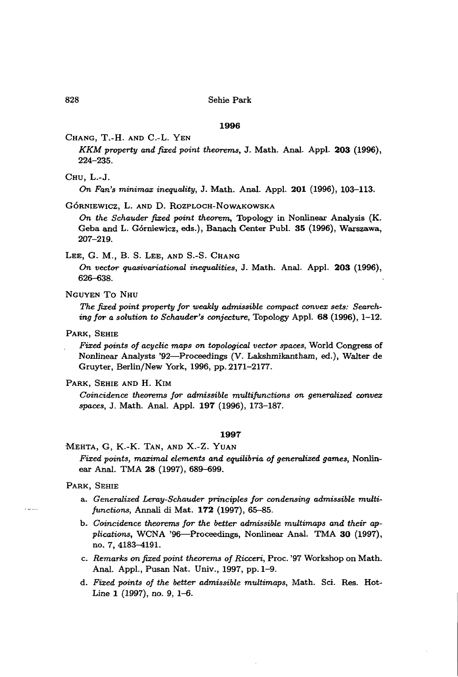#### **1996**

## CHANG, T.-H. AND C.-L. YEN

*KKM property and fixed point theorems,* J. Math. Anal. AppL **203** (1996), 224-235.

CHU, L.-J.

*On Fan's minimax inequality,* J. Math. AnaL AppL **201** (1996), 103-113.

## GÓRNIEWICZ, L. AND D. ROZPLOCH-NOWAKOWSKA

*On the Schauder fixed point theorem,* Topology in Nonlinear Analysis (K. Geba and L. Górniewicz, eds.), Banach Center Publ. 35 (1996), Warszawa, 207-219.

# LEE, G. M., B. S. LEE, AND S.-S. CHANG

*On vector quasivariational inequalities,* J. Math. Anal. AppL **203** (1996), 626-638.

NGUYEN To NHU

*The fixed point property for weakly admissible compact convex sets: Searching for a solution* to *Schauder's conjecture,* Topology AppL **68** (1996), 1-12.

PARK, SEHIE

*Fixed points of acyclic maps on topological vector spaces,* World Congress of Nonlinear Analysts '92-Proceedings (V. Lakshmikantham, ed.), Walter de Gruyter, Berlin/New York, 1996, pp. 2171-2177.

PARK, SEHIE AND H. KIM

*Coincidence theorems for admissible multijunctions on generalized convex spaces,* J. Math. Anal. Appl. **197** (1996), 173-187.

## **1997**

# MEHTA, G, K.-K. TAN, AND X.-Z. YUAN *Fixed points, maximal elements and equilibria of generalized games,* Nonlinear Anal. TMA 28 (1997), 689-699.

#### PARK, SEHIE

- a. *Generalized Leray-Schauder principles for condensing admissible multijunctions,* Annali di Mat. **172** (1997), 65-85.
- b. *Coincidence theorems for the better admissible multimaps and their applications,* WCNA '96-Proceedings, Nonlinear Anal. TMA **30** (1997), no. 7,4183-4191.
- c. *Remarks on fixed point theorems of Ricceri,* Proc. '97 Workshop on Math. Anal. Appl., Pusan Nat. Univ., 1997, pp. 1-9.
- d. *Fixed points of the better .admissible multimaps,* Math. ScL Res. Hot-Line 1 (1997), no. 9, 1-6.